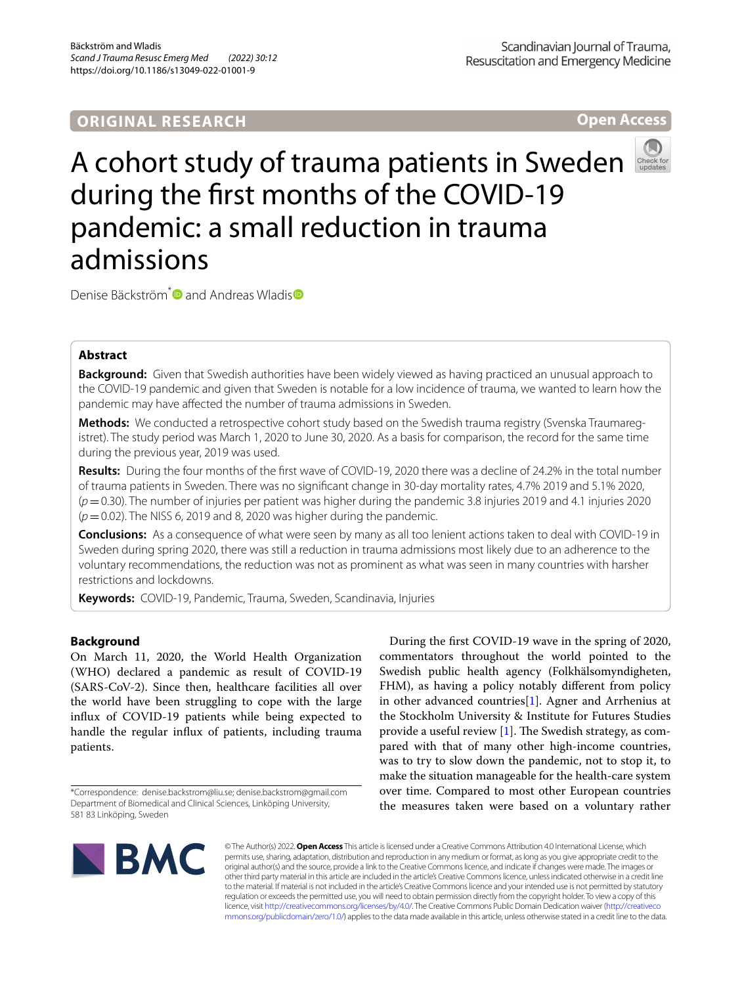## **ORIGINAL RESEARCH**

Scandinavian Journal of Trauma, Resuscitation and Emergency Medicine

**Open Access**

# A cohort study of trauma patients in Sweden during the frst months of the COVID-19 pandemic: a small reduction in trauma admissions

Denise Bäckström<sup>[\\*](http://orcid.org/0000-0003-4075-4600)</[s](http://orcid.org/0000-0003-4377-0892)up> and Andreas Wladis **D** 

## **Abstract**

**Background:** Given that Swedish authorities have been widely viewed as having practiced an unusual approach to the COVID-19 pandemic and given that Sweden is notable for a low incidence of trauma, we wanted to learn how the pandemic may have afected the number of trauma admissions in Sweden.

**Methods:** We conducted a retrospective cohort study based on the Swedish trauma registry (Svenska Traumaregistret). The study period was March 1, 2020 to June 30, 2020. As a basis for comparison, the record for the same time during the previous year, 2019 was used.

**Results:** During the four months of the frst wave of COVID-19, 2020 there was a decline of 24.2% in the total number of trauma patients in Sweden. There was no signifcant change in 30-day mortality rates, 4.7% 2019 and 5.1% 2020, (*p*=0.30). The number of injuries per patient was higher during the pandemic 3.8 injuries 2019 and 4.1 injuries 2020 (*p*=0.02). The NISS 6, 2019 and 8, 2020 was higher during the pandemic.

**Conclusions:** As a consequence of what were seen by many as all too lenient actions taken to deal with COVID-19 in Sweden during spring 2020, there was still a reduction in trauma admissions most likely due to an adherence to the voluntary recommendations, the reduction was not as prominent as what was seen in many countries with harsher restrictions and lockdowns.

**Keywords:** COVID-19, Pandemic, Trauma, Sweden, Scandinavia, Injuries

## **Background**

On March 11, 2020, the World Health Organization (WHO) declared a pandemic as result of COVID-19 (SARS-CoV-2). Since then, healthcare facilities all over the world have been struggling to cope with the large infux of COVID-19 patients while being expected to handle the regular infux of patients, including trauma patients.

During the frst COVID-19 wave in the spring of 2020, commentators throughout the world pointed to the Swedish public health agency (Folkhälsomyndigheten, FHM), as having a policy notably diferent from policy in other advanced countries[[1\]](#page-6-0). Agner and Arrhenius at the Stockholm University & Institute for Futures Studies provide a useful review  $[1]$  $[1]$ . The Swedish strategy, as compared with that of many other high-income countries, was to try to slow down the pandemic, not to stop it, to make the situation manageable for the health-care system over time. Compared to most other European countries the measures taken were based on a voluntary rather



© The Author(s) 2022. **Open Access** This article is licensed under a Creative Commons Attribution 4.0 International License, which permits use, sharing, adaptation, distribution and reproduction in any medium or format, as long as you give appropriate credit to the original author(s) and the source, provide a link to the Creative Commons licence, and indicate if changes were made. The images or other third party material in this article are included in the article's Creative Commons licence, unless indicated otherwise in a credit line to the material. If material is not included in the article's Creative Commons licence and your intended use is not permitted by statutory regulation or exceeds the permitted use, you will need to obtain permission directly from the copyright holder. To view a copy of this licence, visit [http://creativecommons.org/licenses/by/4.0/.](http://creativecommons.org/licenses/by/4.0/) The Creative Commons Public Domain Dedication waiver ([http://creativeco](http://creativecommons.org/publicdomain/zero/1.0/) [mmons.org/publicdomain/zero/1.0/](http://creativecommons.org/publicdomain/zero/1.0/)) applies to the data made available in this article, unless otherwise stated in a credit line to the data.

<sup>\*</sup>Correspondence: denise.backstrom@liu.se; denise.backstrom@gmail.com Department of Biomedical and Clinical Sciences, Linköping University, 581 83 Linköping, Sweden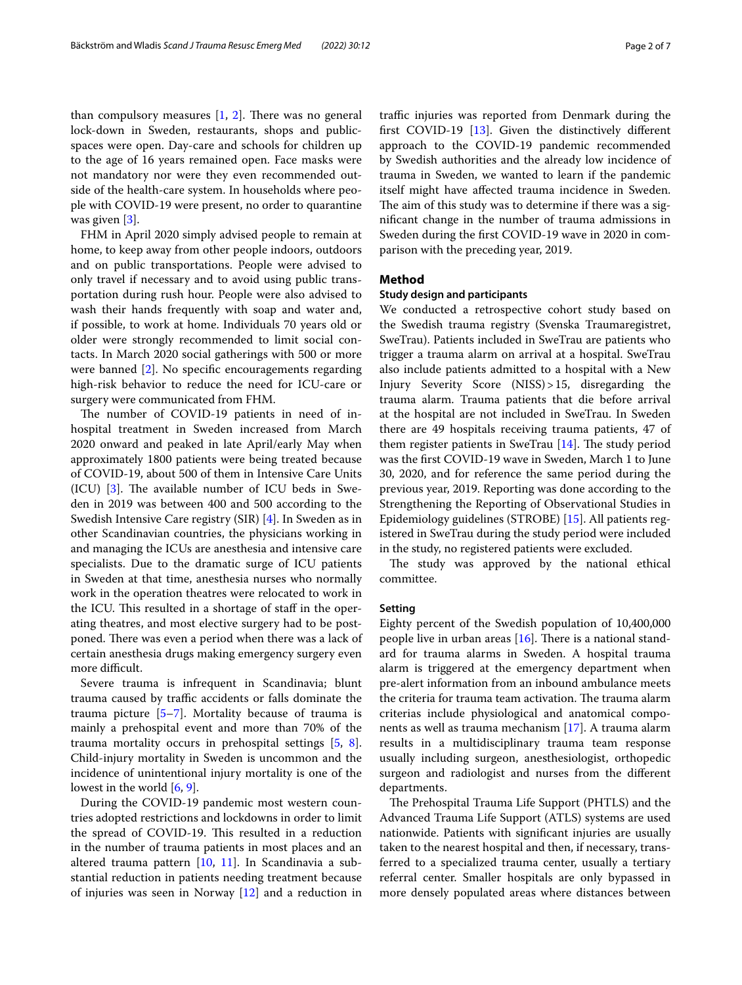than compulsory measures  $[1, 2]$  $[1, 2]$  $[1, 2]$  $[1, 2]$ . There was no general lock-down in Sweden, restaurants, shops and publicspaces were open. Day-care and schools for children up to the age of 16 years remained open. Face masks were not mandatory nor were they even recommended outside of the health-care system. In households where people with COVID-19 were present, no order to quarantine was given [[3\]](#page-6-2).

FHM in April 2020 simply advised people to remain at home, to keep away from other people indoors, outdoors and on public transportations. People were advised to only travel if necessary and to avoid using public transportation during rush hour. People were also advised to wash their hands frequently with soap and water and, if possible, to work at home. Individuals 70 years old or older were strongly recommended to limit social contacts. In March 2020 social gatherings with 500 or more were banned [[2\]](#page-6-1). No specifc encouragements regarding high-risk behavior to reduce the need for ICU-care or surgery were communicated from FHM.

The number of COVID-19 patients in need of inhospital treatment in Sweden increased from March 2020 onward and peaked in late April/early May when approximately 1800 patients were being treated because of COVID-19, about 500 of them in Intensive Care Units  $(ICU)$  [[3](#page-6-2)]. The available number of ICU beds in Sweden in 2019 was between 400 and 500 according to the Swedish Intensive Care registry (SIR) [[4\]](#page-6-3). In Sweden as in other Scandinavian countries, the physicians working in and managing the ICUs are anesthesia and intensive care specialists. Due to the dramatic surge of ICU patients in Sweden at that time, anesthesia nurses who normally work in the operation theatres were relocated to work in the ICU. This resulted in a shortage of staff in the operating theatres, and most elective surgery had to be postponed. There was even a period when there was a lack of certain anesthesia drugs making emergency surgery even more difficult.

Severe trauma is infrequent in Scandinavia; blunt trauma caused by traffic accidents or falls dominate the trauma picture [[5](#page-6-4)[–7](#page-6-5)]. Mortality because of trauma is mainly a prehospital event and more than 70% of the trauma mortality occurs in prehospital settings [\[5](#page-6-4), [8](#page-6-6)]. Child-injury mortality in Sweden is uncommon and the incidence of unintentional injury mortality is one of the lowest in the world [\[6,](#page-6-7) [9](#page-6-8)].

During the COVID-19 pandemic most western countries adopted restrictions and lockdowns in order to limit the spread of COVID-19. This resulted in a reduction in the number of trauma patients in most places and an altered trauma pattern [[10,](#page-6-9) [11](#page-6-10)]. In Scandinavia a substantial reduction in patients needing treatment because of injuries was seen in Norway [\[12\]](#page-6-11) and a reduction in traffic injuries was reported from Denmark during the frst COVID-19 [\[13](#page-6-12)]. Given the distinctively diferent approach to the COVID-19 pandemic recommended by Swedish authorities and the already low incidence of trauma in Sweden, we wanted to learn if the pandemic itself might have afected trauma incidence in Sweden. The aim of this study was to determine if there was a signifcant change in the number of trauma admissions in Sweden during the frst COVID-19 wave in 2020 in comparison with the preceding year, 2019.

## **Method**

#### **Study design and participants**

We conducted a retrospective cohort study based on the Swedish trauma registry (Svenska Traumaregistret, SweTrau). Patients included in SweTrau are patients who trigger a trauma alarm on arrival at a hospital. SweTrau also include patients admitted to a hospital with a New Injury Severity Score (NISS)>15, disregarding the trauma alarm. Trauma patients that die before arrival at the hospital are not included in SweTrau. In Sweden there are 49 hospitals receiving trauma patients, 47 of them register patients in SweTrau  $[14]$  $[14]$ . The study period was the frst COVID-19 wave in Sweden, March 1 to June 30, 2020, and for reference the same period during the previous year, 2019. Reporting was done according to the Strengthening the Reporting of Observational Studies in Epidemiology guidelines (STROBE) [\[15](#page-6-14)]. All patients registered in SweTrau during the study period were included in the study, no registered patients were excluded.

The study was approved by the national ethical committee.

### **Setting**

Eighty percent of the Swedish population of 10,400,000 people live in urban areas  $[16]$  $[16]$ . There is a national standard for trauma alarms in Sweden. A hospital trauma alarm is triggered at the emergency department when pre-alert information from an inbound ambulance meets the criteria for trauma team activation. The trauma alarm criterias include physiological and anatomical components as well as trauma mechanism [[17](#page-6-16)]. A trauma alarm results in a multidisciplinary trauma team response usually including surgeon, anesthesiologist, orthopedic surgeon and radiologist and nurses from the diferent departments.

The Prehospital Trauma Life Support (PHTLS) and the Advanced Trauma Life Support (ATLS) systems are used nationwide. Patients with signifcant injuries are usually taken to the nearest hospital and then, if necessary, transferred to a specialized trauma center, usually a tertiary referral center. Smaller hospitals are only bypassed in more densely populated areas where distances between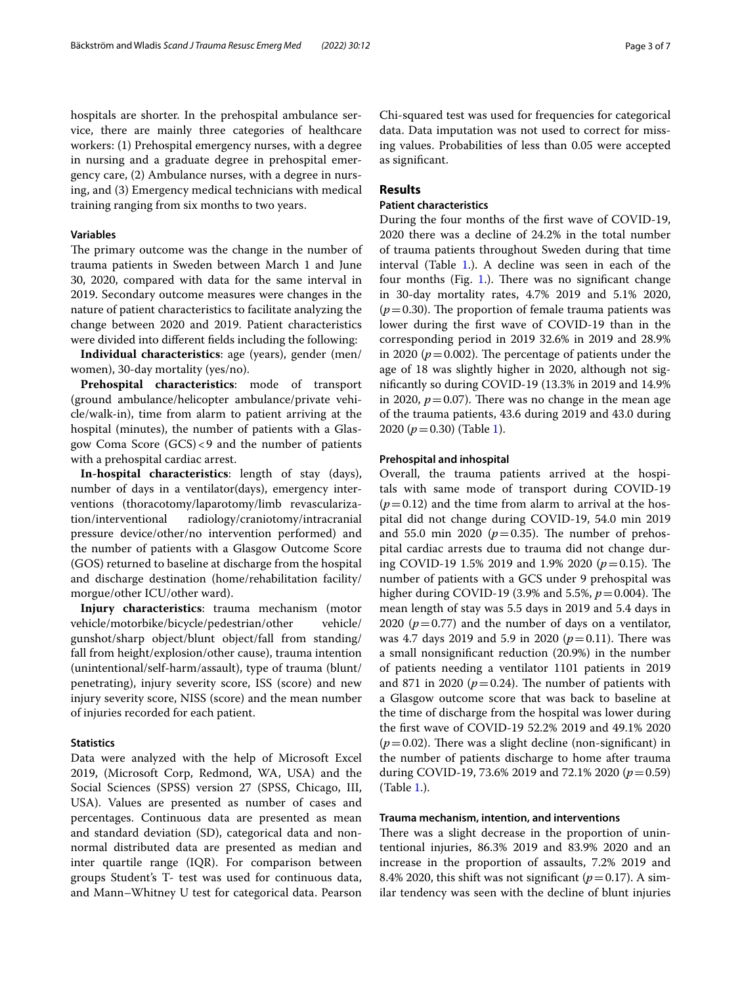hospitals are shorter. In the prehospital ambulance service, there are mainly three categories of healthcare workers: (1) Prehospital emergency nurses, with a degree in nursing and a graduate degree in prehospital emergency care, (2) Ambulance nurses, with a degree in nursing, and (3) Emergency medical technicians with medical training ranging from six months to two years.

#### **Variables**

The primary outcome was the change in the number of trauma patients in Sweden between March 1 and June 30, 2020, compared with data for the same interval in 2019. Secondary outcome measures were changes in the nature of patient characteristics to facilitate analyzing the change between 2020 and 2019. Patient characteristics were divided into diferent felds including the following:

**Individual characteristics**: age (years), gender (men/ women), 30-day mortality (yes/no).

**Prehospital characteristics**: mode of transport (ground ambulance/helicopter ambulance/private vehicle/walk-in), time from alarm to patient arriving at the hospital (minutes), the number of patients with a Glasgow Coma Score (GCS)<9 and the number of patients with a prehospital cardiac arrest.

**In-hospital characteristics**: length of stay (days), number of days in a ventilator(days), emergency interventions (thoracotomy/laparotomy/limb revascularization/interventional radiology/craniotomy/intracranial pressure device/other/no intervention performed) and the number of patients with a Glasgow Outcome Score (GOS) returned to baseline at discharge from the hospital and discharge destination (home/rehabilitation facility/ morgue/other ICU/other ward).

**Injury characteristics**: trauma mechanism (motor vehicle/motorbike/bicycle/pedestrian/other vehicle/ gunshot/sharp object/blunt object/fall from standing/ fall from height/explosion/other cause), trauma intention (unintentional/self-harm/assault), type of trauma (blunt/ penetrating), injury severity score, ISS (score) and new injury severity score, NISS (score) and the mean number of injuries recorded for each patient.

## **Statistics**

Data were analyzed with the help of Microsoft Excel 2019, (Microsoft Corp, Redmond, WA, USA) and the Social Sciences (SPSS) version 27 (SPSS, Chicago, III, USA). Values are presented as number of cases and percentages. Continuous data are presented as mean and standard deviation (SD), categorical data and nonnormal distributed data are presented as median and inter quartile range (IQR). For comparison between groups Student's T- test was used for continuous data, and Mann–Whitney U test for categorical data. Pearson

Chi-squared test was used for frequencies for categorical data. Data imputation was not used to correct for missing values. Probabilities of less than 0.05 were accepted as signifcant.

## **Results**

## **Patient characteristics**

During the four months of the frst wave of COVID-19, 2020 there was a decline of 24.2% in the total number of trauma patients throughout Sweden during that time interval (Table [1.](#page-3-0)). A decline was seen in each of the four months (Fig.  $1$ .). There was no significant change in 30-day mortality rates, 4.7% 2019 and 5.1% 2020,  $(p=0.30)$ . The proportion of female trauma patients was lower during the frst wave of COVID-19 than in the corresponding period in 2019 32.6% in 2019 and 28.9% in 2020 ( $p = 0.002$ ). The percentage of patients under the age of 18 was slightly higher in 2020, although not signifcantly so during COVID-19 (13.3% in 2019 and 14.9% in 2020,  $p = 0.07$ ). There was no change in the mean age of the trauma patients, 43.6 during 2019 and 43.0 during 2020 ( $p = 0.30$ ) (Table [1](#page-3-0)).

#### **Prehospital and inhospital**

Overall, the trauma patients arrived at the hospitals with same mode of transport during COVID-19  $(p=0.12)$  and the time from alarm to arrival at the hospital did not change during COVID-19, 54.0 min 2019 and 55.0 min 2020 ( $p=0.35$ ). The number of prehospital cardiac arrests due to trauma did not change during COVID-19 1.5% 2019 and 1.9% 2020 ( $p = 0.15$ ). The number of patients with a GCS under 9 prehospital was higher during COVID-19 (3.9% and 5.5%,  $p = 0.004$ ). The mean length of stay was 5.5 days in 2019 and 5.4 days in 2020 ( $p=0.77$ ) and the number of days on a ventilator, was 4.7 days 2019 and 5.9 in 2020 ( $p = 0.11$ ). There was a small nonsignifcant reduction (20.9%) in the number of patients needing a ventilator 1101 patients in 2019 and 871 in 2020 ( $p = 0.24$ ). The number of patients with a Glasgow outcome score that was back to baseline at the time of discharge from the hospital was lower during the frst wave of COVID-19 52.2% 2019 and 49.1% 2020  $(p=0.02)$ . There was a slight decline (non-significant) in the number of patients discharge to home after trauma during COVID-19, 73.6% 2019 and 72.1% 2020 (*p*=0.59) (Table [1.](#page-3-0)).

#### **Trauma mechanism, intention, and interventions**

There was a slight decrease in the proportion of unintentional injuries, 86.3% 2019 and 83.9% 2020 and an increase in the proportion of assaults, 7.2% 2019 and 8.4% 2020, this shift was not significant  $(p=0.17)$ . A similar tendency was seen with the decline of blunt injuries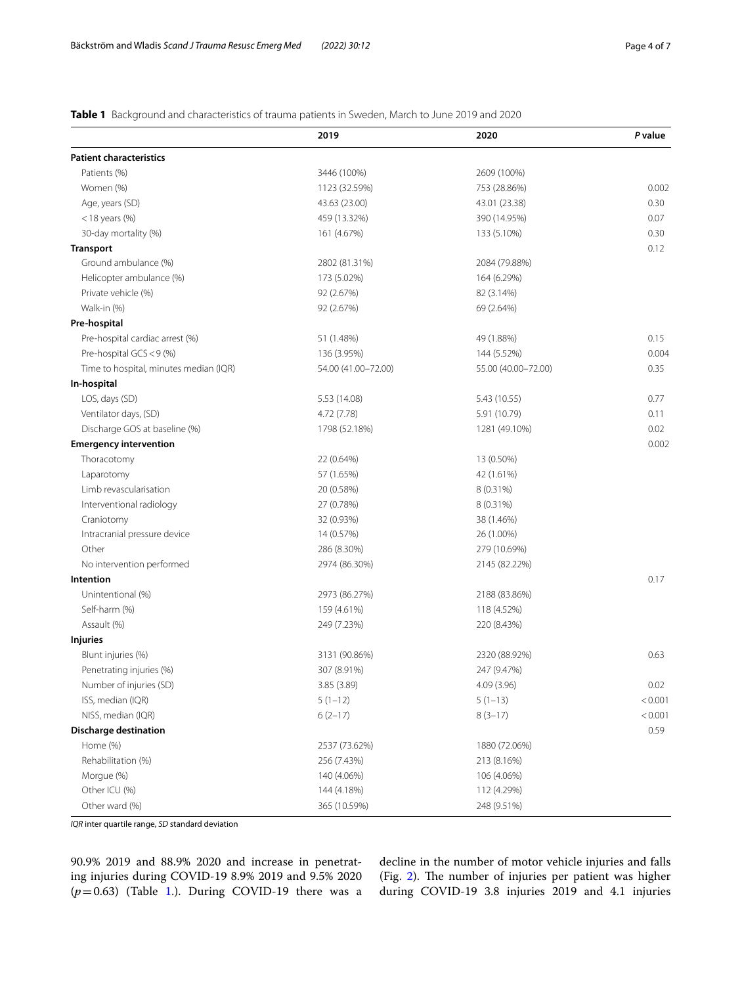## <span id="page-3-0"></span>**Table 1** Background and characteristics of trauma patients in Sweden, March to June 2019 and 2020

|                                        | 2019                | 2020                | P value |
|----------------------------------------|---------------------|---------------------|---------|
| <b>Patient characteristics</b>         |                     |                     |         |
| Patients (%)                           | 3446 (100%)         | 2609 (100%)         |         |
| Women (%)                              | 1123 (32.59%)       | 753 (28.86%)        | 0.002   |
| Age, years (SD)                        | 43.63 (23.00)       | 43.01 (23.38)       | 0.30    |
| $<$ 18 years (%)                       | 459 (13.32%)        | 390 (14.95%)        | 0.07    |
| 30-day mortality (%)                   | 161 (4.67%)         | 133 (5.10%)         | 0.30    |
| <b>Transport</b>                       |                     |                     | 0.12    |
| Ground ambulance (%)                   | 2802 (81.31%)       | 2084 (79.88%)       |         |
| Helicopter ambulance (%)               | 173 (5.02%)         | 164 (6.29%)         |         |
| Private vehicle (%)                    | 92 (2.67%)          | 82 (3.14%)          |         |
| Walk-in (%)                            | 92 (2.67%)          | 69 (2.64%)          |         |
| Pre-hospital                           |                     |                     |         |
| Pre-hospital cardiac arrest (%)        | 51 (1.48%)          | 49 (1.88%)          | 0.15    |
| Pre-hospital GCS < 9 (%)               | 136 (3.95%)         | 144 (5.52%)         | 0.004   |
| Time to hospital, minutes median (IQR) | 54.00 (41.00-72.00) | 55.00 (40.00-72.00) | 0.35    |
| In-hospital                            |                     |                     |         |
| LOS, days (SD)                         | 5.53 (14.08)        | 5.43 (10.55)        | 0.77    |
| Ventilator days, (SD)                  | 4.72 (7.78)         | 5.91 (10.79)        | 0.11    |
| Discharge GOS at baseline (%)          | 1798 (52.18%)       | 1281 (49.10%)       | 0.02    |
| <b>Emergency intervention</b>          |                     |                     | 0.002   |
| Thoracotomy                            | 22 (0.64%)          | 13 (0.50%)          |         |
| Laparotomy                             | 57 (1.65%)          | 42 (1.61%)          |         |
| Limb revascularisation                 | 20 (0.58%)          | 8 (0.31%)           |         |
| Interventional radiology               | 27 (0.78%)          | 8 (0.31%)           |         |
| Craniotomy                             | 32 (0.93%)          | 38 (1.46%)          |         |
| Intracranial pressure device           | 14 (0.57%)          | 26 (1.00%)          |         |
| Other                                  | 286 (8.30%)         | 279 (10.69%)        |         |
| No intervention performed              | 2974 (86.30%)       | 2145 (82.22%)       |         |
| Intention                              |                     |                     | 0.17    |
| Unintentional (%)                      | 2973 (86.27%)       | 2188 (83.86%)       |         |
| Self-harm (%)                          | 159 (4.61%)         | 118 (4.52%)         |         |
| Assault (%)                            | 249 (7.23%)         | 220 (8.43%)         |         |
| <b>Injuries</b>                        |                     |                     |         |
| Blunt injuries (%)                     | 3131 (90.86%)       | 2320 (88.92%)       | 0.63    |
| Penetrating injuries (%)               | 307 (8.91%)         | 247 (9.47%)         |         |
| Number of injuries (SD)                | 3.85 (3.89)         | 4.09 (3.96)         | 0.02    |
| ISS, median (IQR)                      | $5(1-12)$           | $5(1-13)$           | < 0.001 |
| NISS, median (IQR)                     | $6(2-17)$           | $8(3-17)$           | < 0.001 |
| Discharge destination                  |                     |                     | 0.59    |
| Home (%)                               | 2537 (73.62%)       | 1880 (72.06%)       |         |
| Rehabilitation (%)                     | 256 (7.43%)         | 213 (8.16%)         |         |
| Morgue (%)                             | 140 (4.06%)         | 106 (4.06%)         |         |
| Other ICU (%)                          | 144 (4.18%)         | 112 (4.29%)         |         |
| Other ward (%)                         | 365 (10.59%)        | 248 (9.51%)         |         |

*IQR* inter quartile range, *SD* standard deviation

90.9% 2019 and 88.9% 2020 and increase in penetrating injuries during COVID-19 8.9% 2019 and 9.5% 2020  $(p=0.63)$  (Table [1.](#page-3-0)). During COVID-19 there was a decline in the number of motor vehicle injuries and falls (Fig. [2\)](#page-4-1). The number of injuries per patient was higher during COVID-19 3.8 injuries 2019 and 4.1 injuries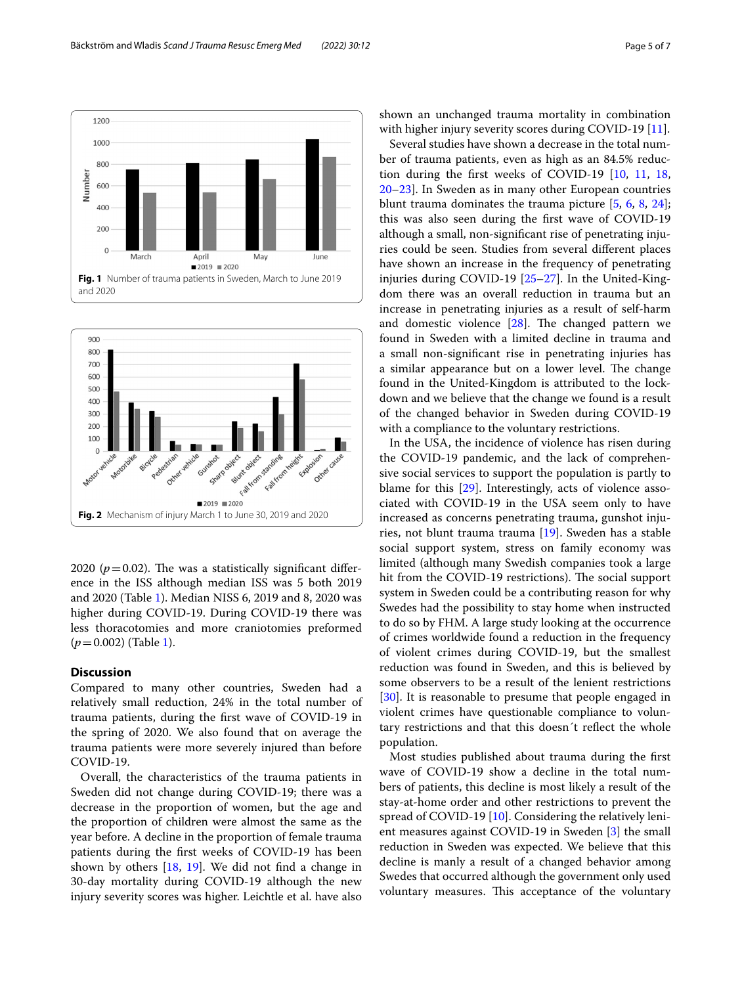

<span id="page-4-0"></span>

<span id="page-4-1"></span>2020 ( $p = 0.02$ ). The was a statistically significant difference in the ISS although median ISS was 5 both 2019 and 2020 (Table [1](#page-3-0)). Median NISS 6, 2019 and 8, 2020 was higher during COVID-19. During COVID-19 there was less thoracotomies and more craniotomies preformed  $(p=0.002)$  (Table [1](#page-3-0)).

## **Discussion**

Compared to many other countries, Sweden had a relatively small reduction, 24% in the total number of trauma patients, during the frst wave of COVID-19 in the spring of 2020. We also found that on average the trauma patients were more severely injured than before COVID-19.

Overall, the characteristics of the trauma patients in Sweden did not change during COVID-19; there was a decrease in the proportion of women, but the age and the proportion of children were almost the same as the year before. A decline in the proportion of female trauma patients during the frst weeks of COVID-19 has been shown by others [[18,](#page-6-17) [19\]](#page-6-18). We did not fnd a change in 30-day mortality during COVID-19 although the new injury severity scores was higher. Leichtle et al. have also shown an unchanged trauma mortality in combination with higher injury severity scores during COVID-19 [[11\]](#page-6-10).

Several studies have shown a decrease in the total number of trauma patients, even as high as an 84.5% reduction during the frst weeks of COVID-19 [[10,](#page-6-9) [11](#page-6-10), [18](#page-6-17), [20](#page-6-19)[–23](#page-6-20)]. In Sweden as in many other European countries blunt trauma dominates the trauma picture [\[5](#page-6-4), [6,](#page-6-7) [8,](#page-6-6) [24](#page-6-21)]; this was also seen during the frst wave of COVID-19 although a small, non-signifcant rise of penetrating injuries could be seen. Studies from several diferent places have shown an increase in the frequency of penetrating injuries during COVID-19 [\[25–](#page-6-22)[27\]](#page-6-23). In the United-Kingdom there was an overall reduction in trauma but an increase in penetrating injuries as a result of self-harm and domestic violence  $[28]$  $[28]$  $[28]$ . The changed pattern we found in Sweden with a limited decline in trauma and a small non-signifcant rise in penetrating injuries has a similar appearance but on a lower level. The change found in the United-Kingdom is attributed to the lockdown and we believe that the change we found is a result of the changed behavior in Sweden during COVID-19 with a compliance to the voluntary restrictions.

In the USA, the incidence of violence has risen during the COVID-19 pandemic, and the lack of comprehensive social services to support the population is partly to blame for this [[29](#page-6-25)]. Interestingly, acts of violence associated with COVID-19 in the USA seem only to have increased as concerns penetrating trauma, gunshot injuries, not blunt trauma trauma [\[19](#page-6-18)]. Sweden has a stable social support system, stress on family economy was limited (although many Swedish companies took a large hit from the COVID-19 restrictions). The social support system in Sweden could be a contributing reason for why Swedes had the possibility to stay home when instructed to do so by FHM. A large study looking at the occurrence of crimes worldwide found a reduction in the frequency of violent crimes during COVID-19, but the smallest reduction was found in Sweden, and this is believed by some observers to be a result of the lenient restrictions [[30\]](#page-6-26). It is reasonable to presume that people engaged in violent crimes have questionable compliance to voluntary restrictions and that this doesn´t refect the whole population.

Most studies published about trauma during the frst wave of COVID-19 show a decline in the total numbers of patients, this decline is most likely a result of the stay-at-home order and other restrictions to prevent the spread of COVID-19 [\[10](#page-6-9)]. Considering the relatively lenient measures against COVID-19 in Sweden [\[3](#page-6-2)] the small reduction in Sweden was expected. We believe that this decline is manly a result of a changed behavior among Swedes that occurred although the government only used voluntary measures. This acceptance of the voluntary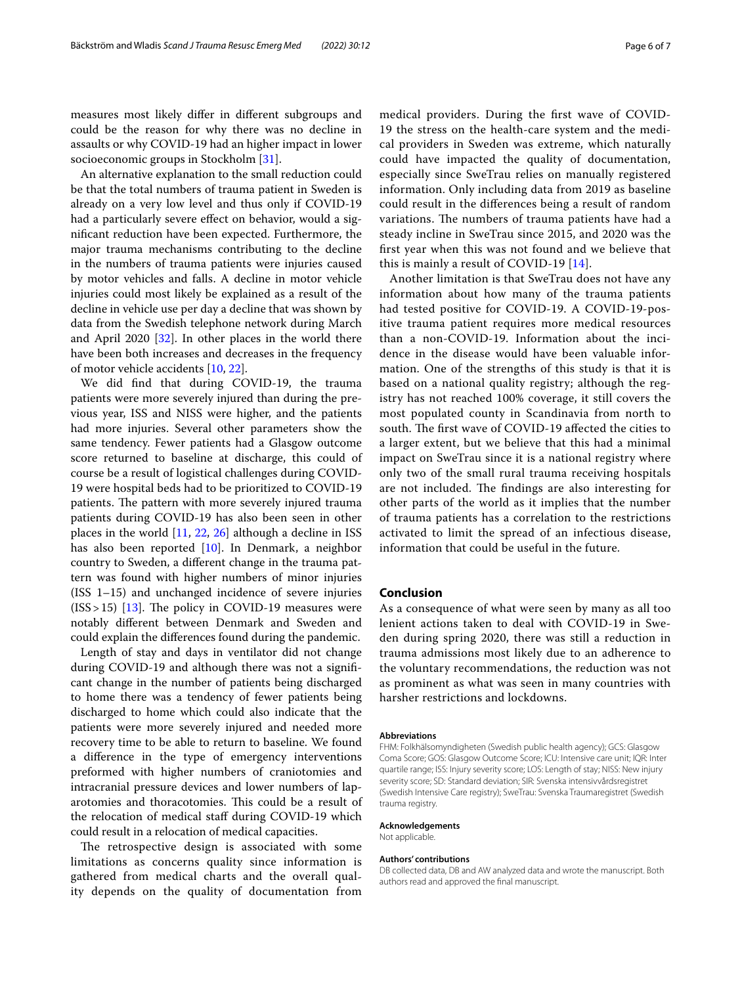measures most likely difer in diferent subgroups and could be the reason for why there was no decline in assaults or why COVID-19 had an higher impact in lower socioeconomic groups in Stockholm [[31\]](#page-6-27).

An alternative explanation to the small reduction could be that the total numbers of trauma patient in Sweden is already on a very low level and thus only if COVID-19 had a particularly severe effect on behavior, would a signifcant reduction have been expected. Furthermore, the major trauma mechanisms contributing to the decline in the numbers of trauma patients were injuries caused by motor vehicles and falls. A decline in motor vehicle injuries could most likely be explained as a result of the decline in vehicle use per day a decline that was shown by data from the Swedish telephone network during March and April 2020 [\[32\]](#page-6-28). In other places in the world there have been both increases and decreases in the frequency of motor vehicle accidents [\[10](#page-6-9), [22](#page-6-29)].

We did fnd that during COVID-19, the trauma patients were more severely injured than during the previous year, ISS and NISS were higher, and the patients had more injuries. Several other parameters show the same tendency. Fewer patients had a Glasgow outcome score returned to baseline at discharge, this could of course be a result of logistical challenges during COVID-19 were hospital beds had to be prioritized to COVID-19 patients. The pattern with more severely injured trauma patients during COVID-19 has also been seen in other places in the world  $[11, 22, 26]$  $[11, 22, 26]$  $[11, 22, 26]$  $[11, 22, 26]$  $[11, 22, 26]$  $[11, 22, 26]$  although a decline in ISS has also been reported [[10](#page-6-9)]. In Denmark, a neighbor country to Sweden, a diferent change in the trauma pattern was found with higher numbers of minor injuries (ISS 1–15) and unchanged incidence of severe injuries  $(ISS > 15)$  [\[13\]](#page-6-12). The policy in COVID-19 measures were notably diferent between Denmark and Sweden and could explain the diferences found during the pandemic.

Length of stay and days in ventilator did not change during COVID-19 and although there was not a signifcant change in the number of patients being discharged to home there was a tendency of fewer patients being discharged to home which could also indicate that the patients were more severely injured and needed more recovery time to be able to return to baseline. We found a diference in the type of emergency interventions preformed with higher numbers of craniotomies and intracranial pressure devices and lower numbers of laparotomies and thoracotomies. This could be a result of the relocation of medical staf during COVID-19 which could result in a relocation of medical capacities.

The retrospective design is associated with some limitations as concerns quality since information is gathered from medical charts and the overall quality depends on the quality of documentation from medical providers. During the frst wave of COVID-19 the stress on the health-care system and the medical providers in Sweden was extreme, which naturally could have impacted the quality of documentation, especially since SweTrau relies on manually registered information. Only including data from 2019 as baseline could result in the diferences being a result of random variations. The numbers of trauma patients have had a steady incline in SweTrau since 2015, and 2020 was the frst year when this was not found and we believe that this is mainly a result of COVID-19 [[14\]](#page-6-13).

Another limitation is that SweTrau does not have any information about how many of the trauma patients had tested positive for COVID-19. A COVID-19-positive trauma patient requires more medical resources than a non-COVID-19. Information about the incidence in the disease would have been valuable information. One of the strengths of this study is that it is based on a national quality registry; although the registry has not reached 100% coverage, it still covers the most populated county in Scandinavia from north to south. The first wave of COVID-19 affected the cities to a larger extent, but we believe that this had a minimal impact on SweTrau since it is a national registry where only two of the small rural trauma receiving hospitals are not included. The findings are also interesting for other parts of the world as it implies that the number of trauma patients has a correlation to the restrictions activated to limit the spread of an infectious disease, information that could be useful in the future.

#### **Conclusion**

As a consequence of what were seen by many as all too lenient actions taken to deal with COVID-19 in Sweden during spring 2020, there was still a reduction in trauma admissions most likely due to an adherence to the voluntary recommendations, the reduction was not as prominent as what was seen in many countries with harsher restrictions and lockdowns.

#### **Abbreviations**

FHM: Folkhälsomyndigheten (Swedish public health agency); GCS: Glasgow Coma Score; GOS: Glasgow Outcome Score; ICU: Intensive care unit; IQR: Inter quartile range; ISS: Injury severity score; LOS: Length of stay; NISS: New injury severity score; SD: Standard deviation; SIR: Svenska intensivvårdsregistret (Swedish Intensive Care registry); SweTrau: Svenska Traumaregistret (Swedish trauma registry.

#### **Acknowledgements**

Not applicable.

#### **Authors' contributions**

DB collected data, DB and AW analyzed data and wrote the manuscript. Both authors read and approved the fnal manuscript.